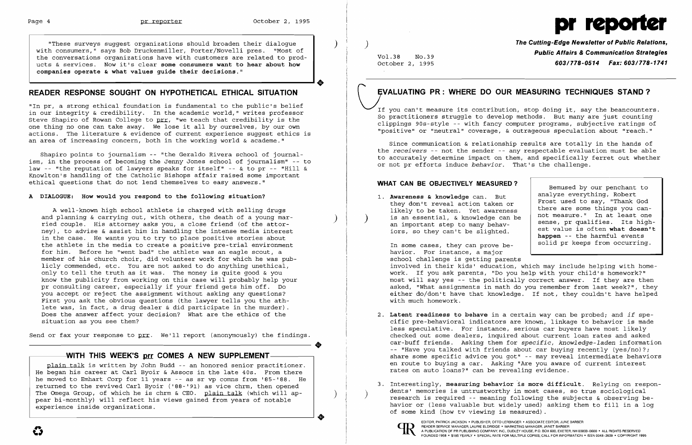$\big)$ 

 $\left( \right)$ 



"These surveys suggest organizations should broaden their dialogue with consumers," says Bob Druckenmiller, Porter/Novelli pres. "Most of the conversations organizations have with customers are related to prodthe conversations organizations have with customers are related to prod-<br>ucts & services. Now it's clear some consumers want to hear about how<br>companies operate & what values guide their decisions."<br>**CHARER RESPONSE SOUGHT companies operate & what values guide their decisions."** 

# **READER RESPONSE SOUGHT ON HYPOTHETICAL ETHICAL SITUATION**

"In pr, a strong ethical foundation is fundamental to the public's belief in our integrity & credibility. In the academic world," writes professor Steve Shapiro of Rowan College to prr, "we teach that credibility is the one thing no one can take away. We lose it all by ourselves, by our own actions. The literature & evidence of current experience suggest ethics is an area of increasing concern, both in the working world & academe."

Shapiro points to journalism - "the Geraldo Rivera school of journalism, in the process of becoming the Jenny Jones school of journalism" - to law -- "the reputation of lawyers speaks for itself" -- & to pr -- "Hill & Knowlton's handling of the Catholic Bishops affair raised some important ethical questions that do not lend themselves to easy answers."

### **A DIALOGUE: How would you respond to the following situation?**

If you can't measure its contribution, stop doing it, say the beancounters. So practitioners struggle to develop methods. But many are just counting clippings 90s-style -- with fancy computer programs, subjective ratings of "positive" or "neutral" coverage, & outrageous speculation about "reach."

A well-known high school athlete is charged with selling drugs and planning & carrying out, with others, the death of a young married couple. His attorney asks you, a close friend (of the attorney), to advise & assist him in handling the intense media interest in the case. He wants you to try to place positive stories about the athlete in the media to create a positive pre-trial environment for him. Before he "went bad" the athlete was an eagle scout, a member of his church choir, did volunteer work for which he was publicly commended, etc. You are not asked to do anything unethical, only to tell the truth as it was. The money is quite good & you know the publicity from working on this case will probably help your pr consulting career, especially if your friend gets him off. Do you accept or reject the assignment without asking any questions? First you ask the obvious questions (the lawyer tells you the athlete was, in fact, a drug dealer & did participate in the murder) . Does the answer affect your decision? What are the ethics of the situation as you see them?

Send or fax your response to prr. We'll report (anonymously) the findings.

## -WITH THIS WEEK'S prr COMES A NEW SUPPLEMENT-

)

 $| \qquad \rangle$ 

plain talk is written by John Budd -- an honored senior practitioner. He began his career at Carl Byoir & Assocs in the late 40s. From there he moved to Emhart Corp for 11 years -- as sr vp comns from '85-'88. He returned to the revived Carl Byoir ('88-'91) as vice chrm, then opened The Omega Group, of which he is chrm & CEO. plain talk (which will appear bi-monthly) will reflect his views gained from years of notable experience inside organizations.

•

Vol.38 NO.39 October 2, 1995 **The Cutting-Edge Newsletter of Public Relations, Public Affairs &Communication Strategies 603/778-0514 Fax: 603/778-1741** 

# **\.)VALUATING PR: WHERE DO OUR MEASURING TECHNIQUES STAND?**

Since communication & relationship results are totally in the hands of the *receivers* -- not the sender -- any respectable evaluation must be able to accurately determine impact on them, and specifically ferret out whether or not pr efforts induce *behavior.* That's the challenge.

### **WHAT CAN BE OBJECTIVELY MEASURED?**

1. **Awareness & knowledge** can. But they don't reveal action taken or likely to be taken. Yet awareness is an essential, & knowledge can be an important step to many behaviors, so they can't be slighted.

Bemused by our penchant to analyze everything, Robert Frost used to say, "Thank God there are some things you cannot measure." In at least one sense, pr qualifies. Its highest value is often **what doesn't happen** -- the harmful events solid pr keeps from occurring.

In some cases, they can prove behavior. For instance, a major school challenge is getting parents involved in their kids' education, which may include helping with homework. If you ask parents, "Do you help with your child's homework?" most will say yes -- the politically correct answer. If they are then asked, "What assignments in math do you remember from last week?", they either do/don't have that knowledge. If not, they couldn't have helped with much homework.

2. **Latent readiness to behave** in a certain way can be probed; and *if* specific pre-behavioral indicators are known, linkage to behavior is made less speculative. For instance, serious car buyers have most likely checked out some dealers, inquired about current loan rates and asked car-buff friends. Asking them for *specific, knowledge-laden* information -- "Have you talked with friends about car buying recently (yes/no)?; share some specific advice you got" -- may reveal intermediate behaviors en route to buying a car. Asking "Are you aware of current interest

- rates on auto loans?" can be revealing evidence.
- of some kind (how tv viewing is measured) .

3. Interestingly, **measuring behavior is more difficult.** Relying on respondents' memories is untrustworthy in most cases, so true sociological research is required -- meaning following the subjects & observing behavior or (less valuable but widely used) asking them to fill in a log